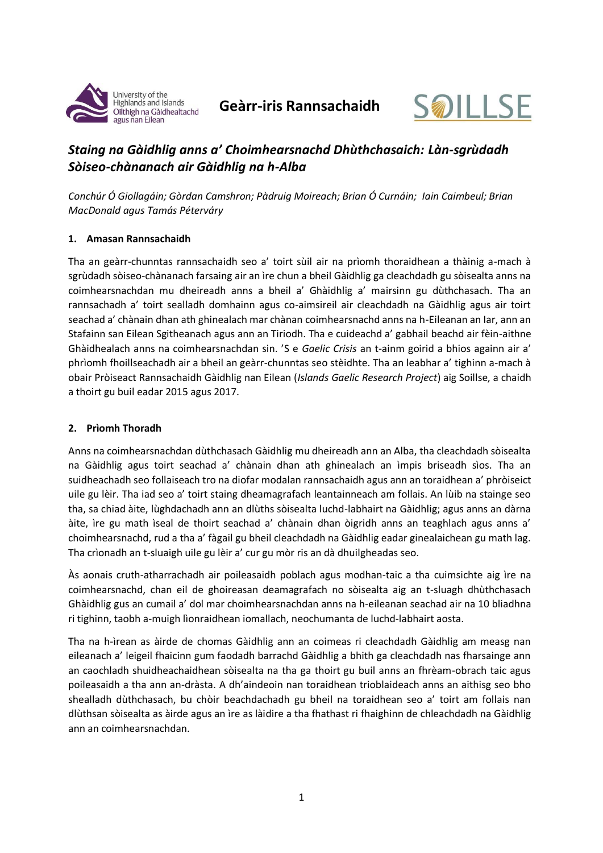



# *Staing na Gàidhlig anns a' Choimhearsnachd Dhùthchasaich: Làn-sgrùdadh Sòiseo-chànanach air Gàidhlig na h-Alba*

*Conchúr Ó Giollagáin; Gòrdan Camshron; Pàdruig Moireach; Brian Ó Curnáin; Iain Caimbeul; Brian MacDonald agus Tamás Péterváry*

#### **1. Amasan Rannsachaidh**

Tha an geàrr-chunntas rannsachaidh seo a' toirt sùil air na prìomh thoraidhean a thàinig a-mach à sgrùdadh sòiseo-chànanach farsaing air an ìre chun a bheil Gàidhlig ga cleachdadh gu sòisealta anns na coimhearsnachdan mu dheireadh anns a bheil a' Ghàidhlig a' mairsinn gu dùthchasach. Tha an rannsachadh a' toirt sealladh domhainn agus co-aimsireil air cleachdadh na Gàidhlig agus air toirt seachad a' chànain dhan ath ghinealach mar chànan coimhearsnachd anns na h-Eileanan an Iar, ann an Stafainn san Eilean Sgitheanach agus ann an Tiriodh. Tha e cuideachd a' gabhail beachd air fèin-aithne Ghàidhealach anns na coimhearsnachdan sin. 'S e *Gaelic Crisis* an t-ainm goirid a bhios againn air a' phrìomh fhoillseachadh air a bheil an geàrr-chunntas seo stèidhte. Tha an leabhar a' tighinn a-mach à obair Pròiseact Rannsachaidh Gàidhlig nan Eilean (*Islands Gaelic Research Project*) aig Soillse, a chaidh a thoirt gu buil eadar 2015 agus 2017.

### **2. Prìomh Thoradh**

Anns na coimhearsnachdan dùthchasach Gàidhlig mu dheireadh ann an Alba, tha cleachdadh sòisealta na Gàidhlig agus toirt seachad a' chànain dhan ath ghinealach an ìmpis briseadh sìos. Tha an suidheachadh seo follaiseach tro na diofar modalan rannsachaidh agus ann an toraidhean a' phròiseict uile gu lèir. Tha iad seo a' toirt staing dheamagrafach leantainneach am follais. An lùib na stainge seo tha, sa chiad àite, lùghdachadh ann an dlùths sòisealta luchd-labhairt na Gàidhlig; agus anns an dàrna àite, ìre gu math ìseal de thoirt seachad a' chànain dhan òigridh anns an teaghlach agus anns a' choimhearsnachd, rud a tha a' fàgail gu bheil cleachdadh na Gàidhlig eadar ginealaichean gu math lag. Tha crìonadh an t-sluaigh uile gu lèir a' cur gu mòr ris an dà dhuilgheadas seo.

Às aonais cruth-atharrachadh air poileasaidh poblach agus modhan-taic a tha cuimsichte aig ìre na coimhearsnachd, chan eil de ghoireasan deamagrafach no sòisealta aig an t-sluagh dhùthchasach Ghàidhlig gus an cumail a' dol mar choimhearsnachdan anns na h-eileanan seachad air na 10 bliadhna ri tighinn, taobh a-muigh lìonraidhean iomallach, neochumanta de luchd-labhairt aosta.

Tha na h-ìrean as àirde de chomas Gàidhlig ann an coimeas ri cleachdadh Gàidhlig am measg nan eileanach a' leigeil fhaicinn gum faodadh barrachd Gàidhlig a bhith ga cleachdadh nas fharsainge ann an caochladh shuidheachaidhean sòisealta na tha ga thoirt gu buil anns an fhrèam-obrach taic agus poileasaidh a tha ann an-dràsta. A dh'aindeoin nan toraidhean trioblaideach anns an aithisg seo bho shealladh dùthchasach, bu chòir beachdachadh gu bheil na toraidhean seo a' toirt am follais nan dlùthsan sòisealta as àirde agus an ìre as làidire a tha fhathast ri fhaighinn de chleachdadh na Gàidhlig ann an coimhearsnachdan.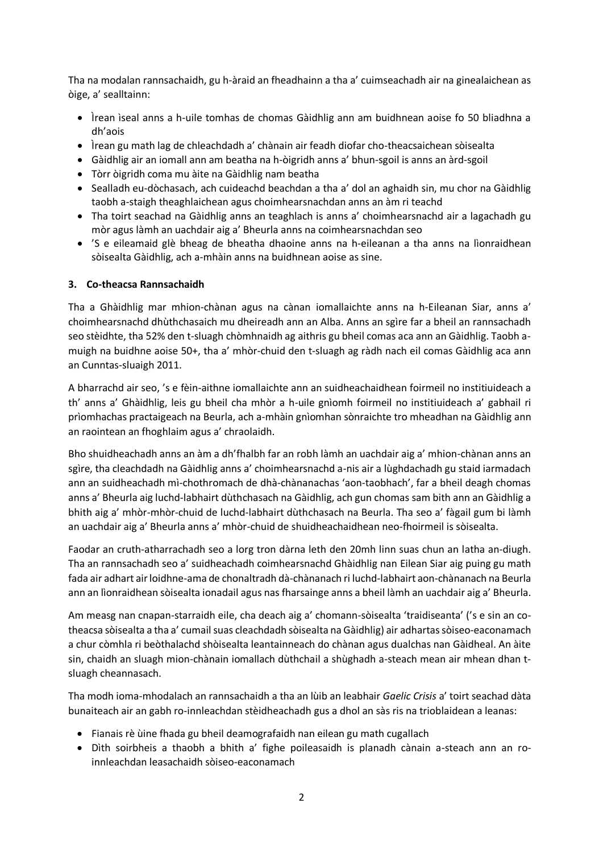Tha na modalan rannsachaidh, gu h-àraid an fheadhainn a tha a' cuimseachadh air na ginealaichean as òige, a' sealltainn:

- Ìrean ìseal anns a h-uile tomhas de chomas Gàidhlig ann am buidhnean aoise fo 50 bliadhna a dh'aois
- Ìrean gu math lag de chleachdadh a' chànain air feadh diofar cho-theacsaichean sòisealta
- Gàidhlig air an iomall ann am beatha na h-òigridh anns a' bhun-sgoil is anns an àrd-sgoil
- Tòrr òigridh coma mu àite na Gàidhlig nam beatha
- Sealladh eu-dòchasach, ach cuideachd beachdan a tha a' dol an aghaidh sin, mu chor na Gàidhlig taobh a-staigh theaghlaichean agus choimhearsnachdan anns an àm ri teachd
- Tha toirt seachad na Gàidhlig anns an teaghlach is anns a' choimhearsnachd air a lagachadh gu mòr agus làmh an uachdair aig a' Bheurla anns na coimhearsnachdan seo
- 'S e eileamaid glè bheag de bheatha dhaoine anns na h-eileanan a tha anns na lìonraidhean sòisealta Gàidhlig, ach a-mhàin anns na buidhnean aoise as sine.

### **3. Co-theacsa Rannsachaidh**

Tha a Ghàidhlig mar mhion-chànan agus na cànan iomallaichte anns na h-Eileanan Siar, anns a' choimhearsnachd dhùthchasaich mu dheireadh ann an Alba. Anns an sgìre far a bheil an rannsachadh seo stèidhte, tha 52% den t-sluagh chòmhnaidh ag aithris gu bheil comas aca ann an Gàidhlig. Taobh amuigh na buidhne aoise 50+, tha a' mhòr-chuid den t-sluagh ag ràdh nach eil comas Gàidhlig aca ann an Cunntas-sluaigh 2011.

A bharrachd air seo, 's e fèin-aithne iomallaichte ann an suidheachaidhean foirmeil no institiuideach a th' anns a' Ghàidhlig, leis gu bheil cha mhòr a h-uile gnìomh foirmeil no institiuideach a' gabhail ri prìomhachas practaigeach na Beurla, ach a-mhàin gnìomhan sònraichte tro mheadhan na Gàidhlig ann an raointean an fhoghlaim agus a' chraolaidh.

Bho shuidheachadh anns an àm a dh'fhalbh far an robh làmh an uachdair aig a' mhion-chànan anns an sgìre, tha cleachdadh na Gàidhlig anns a' choimhearsnachd a-nis air a lùghdachadh gu staid iarmadach ann an suidheachadh mì-chothromach de dhà-chànanachas 'aon-taobhach', far a bheil deagh chomas anns a' Bheurla aig luchd-labhairt dùthchasach na Gàidhlig, ach gun chomas sam bith ann an Gàidhlig a bhith aig a' mhòr-mhòr-chuid de luchd-labhairt dùthchasach na Beurla. Tha seo a' fàgail gum bi làmh an uachdair aig a' Bheurla anns a' mhòr-chuid de shuidheachaidhean neo-fhoirmeil is sòisealta.

Faodar an cruth-atharrachadh seo a lorg tron dàrna leth den 20mh linn suas chun an latha an-diugh. Tha an rannsachadh seo a' suidheachadh coimhearsnachd Ghàidhlig nan Eilean Siar aig puing gu math fada air adhart air loidhne-ama de chonaltradh dà-chànanach ri luchd-labhairt aon-chànanach na Beurla ann an lìonraidhean sòisealta ionadail agus nas fharsainge anns a bheil làmh an uachdair aig a' Bheurla.

Am measg nan cnapan-starraidh eile, cha deach aig a' chomann-sòisealta 'traidiseanta' ('s e sin an cotheacsa sòisealta a tha a' cumail suas cleachdadh sòisealta na Gàidhlig) air adhartas sòiseo-eaconamach a chur còmhla ri beòthalachd shòisealta leantainneach do chànan agus dualchas nan Gàidheal. An àite sin, chaidh an sluagh mion-chànain iomallach dùthchail a shùghadh a-steach mean air mhean dhan tsluagh cheannasach.

Tha modh ioma-mhodalach an rannsachaidh a tha an lùib an leabhair *Gaelic Crisis* a' toirt seachad dàta bunaiteach air an gabh ro-innleachdan stèidheachadh gus a dhol an sàs ris na trioblaidean a leanas:

- Fianais rè ùine fhada gu bheil deamografaidh nan eilean gu math cugallach
- Dìth soirbheis a thaobh a bhith a' fighe poileasaidh is planadh cànain a-steach ann an roinnleachdan leasachaidh sòiseo-eaconamach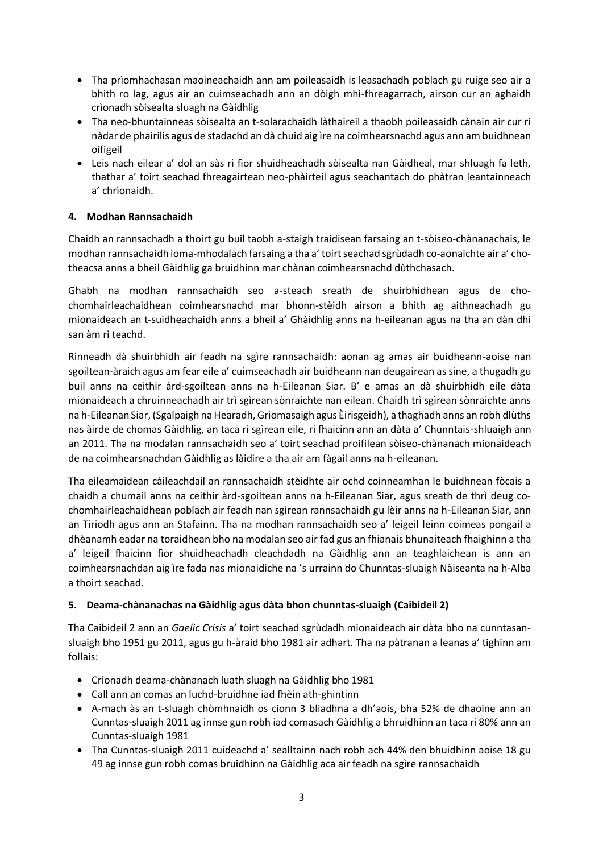- Tha prìomhachasan maoineachaidh ann am poileasaidh is leasachadh poblach gu ruige seo air a bhith ro lag, agus air an cuimseachadh ann an dòigh mhì-fhreagarrach, airson cur an aghaidh crìonadh sòisealta sluagh na Gàidhlig
- Tha neo-bhuntainneas sòisealta an t-solarachaidh làthaireil a thaobh poileasaidh cànain air cur ri nàdar de phairilis agus de stadachd an dà chuid aig ìre na coimhearsnachd agus ann am buidhnean oifigeil
- Leis nach eilear a' dol an sàs ri fìor shuidheachadh sòisealta nan Gàidheal, mar shluagh fa leth, thathar a' toirt seachad fhreagairtean neo-phàirteil agus seachantach do phàtran leantainneach a' chrìonaidh.

## **4. Modhan Rannsachaidh**

Chaidh an rannsachadh a thoirt gu buil taobh a-staigh traidisean farsaing an t-sòiseo-chànanachais, le modhan rannsachaidh ioma-mhodalach farsaing a tha a' toirt seachad sgrùdadh co-aonaichte air a' chotheacsa anns a bheil Gàidhlig ga bruidhinn mar chànan coimhearsnachd dùthchasach.

Ghabh na modhan rannsachaidh seo a-steach sreath de shuirbhidhean agus de chochomhairleachaidhean coimhearsnachd mar bhonn-stèidh airson a bhith ag aithneachadh gu mionaideach an t-suidheachaidh anns a bheil a' Ghàidhlig anns na h-eileanan agus na tha an dàn dhi san àm ri teachd.

Rinneadh dà shuirbhidh air feadh na sgìre rannsachaidh: aonan ag amas air buidheann-aoise nan sgoiltean-àraich agus am fear eile a' cuimseachadh air buidheann nan deugairean as sine, a thugadh gu buil anns na ceithir àrd-sgoiltean anns na h-Eileanan Siar. B' e amas an dà shuirbhidh eile dàta mionaideach a chruinneachadh air trì sgìrean sònraichte nan eilean. Chaidh trì sgìrean sònraichte anns na h-Eileanan Siar, (Sgalpaigh na Hearadh, Griomasaigh agus Èirisgeidh), a thaghadh anns an robh dlùths nas àirde de chomas Gàidhlig, an taca ri sgìrean eile, ri fhaicinn ann an dàta a' Chunntais-shluaigh ann an 2011. Tha na modalan rannsachaidh seo a' toirt seachad proifilean sòiseo-chànanach mionaideach de na coimhearsnachdan Gàidhlig as làidire a tha air am fàgail anns na h-eileanan.

Tha eileamaidean càileachdail an rannsachaidh stèidhte air ochd coinneamhan le buidhnean fòcais a chaidh a chumail anns na ceithir àrd-sgoiltean anns na h-Eileanan Siar, agus sreath de thrì deug cochomhairleachaidhean poblach air feadh nan sgìrean rannsachaidh gu lèir anns na h-Eileanan Siar, ann an Tiriodh agus ann an Stafainn. Tha na modhan rannsachaidh seo a' leigeil leinn coimeas pongail a dhèanamh eadar na toraidhean bho na modalan seo air fad gus an fhianais bhunaiteach fhaighinn a tha a' leigeil fhaicinn fìor shuidheachadh cleachdadh na Gàidhlig ann an teaghlaichean is ann an coimhearsnachdan aig ìre fada nas mionaidiche na 's urrainn do Chunntas-sluaigh Nàiseanta na h-Alba a thoirt seachad.

### **5. Deama-chànanachas na Gàidhlig agus dàta bhon chunntas-sluaigh (Caibideil 2)**

Tha Caibideil 2 ann an *Gaelic Crisis* a' toirt seachad sgrùdadh mionaideach air dàta bho na cunntasansluaigh bho 1951 gu 2011, agus gu h-àraid bho 1981 air adhart. Tha na pàtranan a leanas a' tighinn am follais:

- Crìonadh deama-chànanach luath sluagh na Gàidhlig bho 1981
- Call ann an comas an luchd-bruidhne iad fhèin ath-ghintinn
- A-mach às an t-sluagh chòmhnaidh os cionn 3 bliadhna a dh'aois, bha 52% de dhaoine ann an Cunntas-sluaigh 2011 ag innse gun robh iad comasach Gàidhlig a bhruidhinn an taca ri 80% ann an Cunntas-sluaigh 1981
- Tha Cunntas-sluaigh 2011 cuideachd a' sealltainn nach robh ach 44% den bhuidhinn aoise 18 gu 49 ag innse gun robh comas bruidhinn na Gàidhlig aca air feadh na sgìre rannsachaidh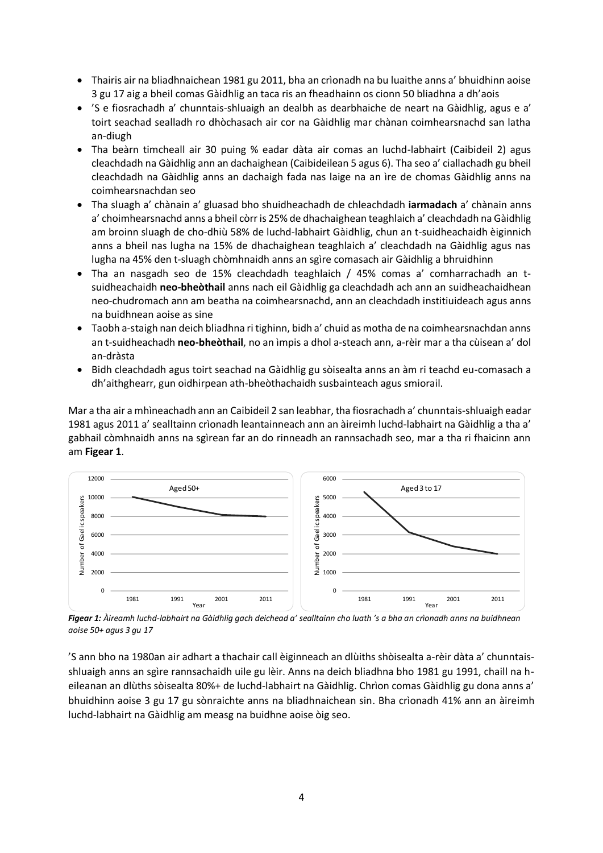- Thairis air na bliadhnaichean 1981 gu 2011, bha an crìonadh na bu luaithe anns a' bhuidhinn aoise 3 gu 17 aig a bheil comas Gàidhlig an taca ris an fheadhainn os cionn 50 bliadhna a dh'aois
- 'S e fiosrachadh a' chunntais-shluaigh an dealbh as dearbhaiche de neart na Gàidhlig, agus e a' toirt seachad sealladh ro dhòchasach air cor na Gàidhlig mar chànan coimhearsnachd san latha an-diugh
- Tha beàrn timcheall air 30 puing % eadar dàta air comas an luchd-labhairt (Caibideil 2) agus cleachdadh na Gàidhlig ann an dachaighean (Caibideilean 5 agus 6). Tha seo a' ciallachadh gu bheil cleachdadh na Gàidhlig anns an dachaigh fada nas laige na an ìre de chomas Gàidhlig anns na coimhearsnachdan seo
- Tha sluagh a' chànain a' gluasad bho shuidheachadh de chleachdadh **iarmadach** a' chànain anns a' choimhearsnachd anns a bheil còrr is 25% de dhachaighean teaghlaich a' cleachdadh na Gàidhlig am broinn sluagh de cho-dhiù 58% de luchd-labhairt Gàidhlig, chun an t-suidheachaidh èiginnich anns a bheil nas lugha na 15% de dhachaighean teaghlaich a' cleachdadh na Gàidhlig agus nas lugha na 45% den t-sluagh chòmhnaidh anns an sgìre comasach air Gàidhlig a bhruidhinn
- Tha an nasgadh seo de 15% cleachdadh teaghlaich / 45% comas a' comharrachadh an tsuidheachaidh **neo-bheòthail** anns nach eil Gàidhlig ga cleachdadh ach ann an suidheachaidhean neo-chudromach ann am beatha na coimhearsnachd, ann an cleachdadh institiuideach agus anns na buidhnean aoise as sine
- Taobh a-staigh nan deich bliadhna ri tighinn, bidh a' chuid as motha de na coimhearsnachdan anns an t-suidheachadh **neo-bheòthail**, no an ìmpis a dhol a-steach ann, a-rèir mar a tha cùisean a' dol an-dràsta
- Bidh cleachdadh agus toirt seachad na Gàidhlig gu sòisealta anns an àm ri teachd eu-comasach a dh'aithghearr, gun oidhirpean ath-bheòthachaidh susbainteach agus smiorail.

Mar a tha air a mhìneachadh ann an Caibideil 2 san leabhar, tha fiosrachadh a' chunntais-shluaigh eadar 1981 agus 2011 a' sealltainn crìonadh leantainneach ann an àireimh luchd-labhairt na Gàidhlig a tha a' gabhail còmhnaidh anns na sgìrean far an do rinneadh an rannsachadh seo, mar a tha ri fhaicinn ann am **Figear 1**.



*Figear 1: Àireamh luchd-labhairt na Gàidhlig gach deichead a' sealltainn cho luath 's a bha an crìonadh anns na buidhnean aoise 50+ agus 3 gu 17*

'S ann bho na 1980an air adhart a thachair call èiginneach an dlùiths shòisealta a-rèir dàta a' chunntaisshluaigh anns an sgìre rannsachaidh uile gu lèir. Anns na deich bliadhna bho 1981 gu 1991, chaill na heileanan an dlùths sòisealta 80%+ de luchd-labhairt na Gàidhlig. Chrìon comas Gàidhlig gu dona anns a' bhuidhinn aoise 3 gu 17 gu sònraichte anns na bliadhnaichean sin. Bha crìonadh 41% ann an àireimh luchd-labhairt na Gàidhlig am measg na buidhne aoise òig seo.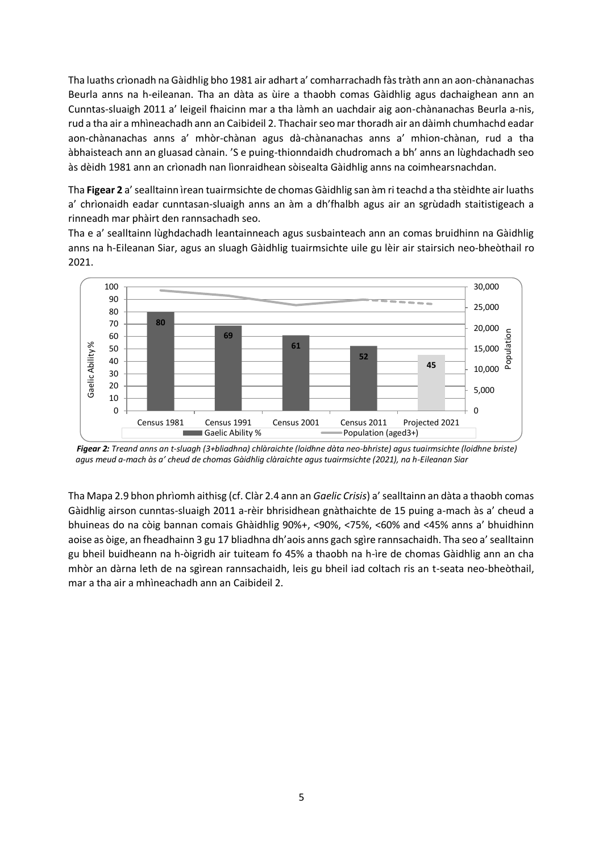Tha luaths crìonadh na Gàidhlig bho 1981 air adhart a' comharrachadh fàs tràth ann an aon-chànanachas Beurla anns na h-eileanan. Tha an dàta as ùire a thaobh comas Gàidhlig agus dachaighean ann an Cunntas-sluaigh 2011 a' leigeil fhaicinn mar a tha làmh an uachdair aig aon-chànanachas Beurla a-nis, rud a tha air a mhìneachadh ann an Caibideil 2. Thachair seo mar thoradh air an dàimh chumhachd eadar aon-chànanachas anns a' mhòr-chànan agus dà-chànanachas anns a' mhion-chànan, rud a tha àbhaisteach ann an gluasad cànain. 'S e puing-thionndaidh chudromach a bh' anns an lùghdachadh seo às dèidh 1981 ann an crìonadh nan lìonraidhean sòisealta Gàidhlig anns na coimhearsnachdan.

Tha **Figear 2** a' sealltainn ìrean tuairmsichte de chomas Gàidhlig san àm ri teachd a tha stèidhte air luaths a' chrìonaidh eadar cunntasan-sluaigh anns an àm a dh'fhalbh agus air an sgrùdadh staitistigeach a rinneadh mar phàirt den rannsachadh seo.

Tha e a' sealltainn lùghdachadh leantainneach agus susbainteach ann an comas bruidhinn na Gàidhlig anns na h-Eileanan Siar, agus an sluagh Gàidhlig tuairmsichte uile gu lèir air stairsich neo-bheòthail ro 2021.



 *Figear 2: Treand anns an t-sluagh (3+bliadhna) chlàraichte (loidhne dàta neo-bhriste) agus tuairmsichte (loidhne briste) agus meud a-mach às a' cheud de chomas Gàidhlig clàraichte agus tuairmsichte (2021), na h-Eileanan Siar*

Tha Mapa 2.9 bhon phrìomh aithisg (cf. Clàr 2.4 ann an *Gaelic Crisis*) a' sealltainn an dàta a thaobh comas Gàidhlig airson cunntas-sluaigh 2011 a-rèir bhrisidhean gnàthaichte de 15 puing a-mach às a' cheud a bhuineas do na còig bannan comais Ghàidhlig 90%+, <90%, <75%, <60% and <45% anns a' bhuidhinn aoise as òige, an fheadhainn 3 gu 17 bliadhna dh'aois anns gach sgìre rannsachaidh. Tha seo a' sealltainn gu bheil buidheann na h-òigridh air tuiteam fo 45% a thaobh na h-ìre de chomas Gàidhlig ann an cha mhòr an dàrna leth de na sgìrean rannsachaidh, leis gu bheil iad coltach ris an t-seata neo-bheòthail, mar a tha air a mhìneachadh ann an Caibideil 2.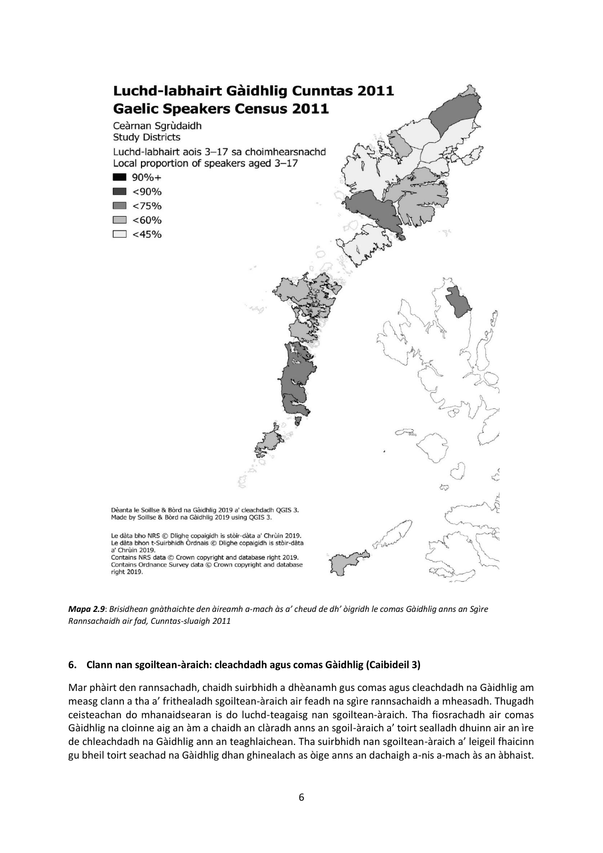

*Mapa 2.9*: *Brisidhean gnàthaichte den àireamh a-mach às a' cheud de dh' òigridh le comas Gàidhlig anns an Sgìre Rannsachaidh air fad, Cunntas-sluaigh 2011*

#### **6. Clann nan sgoiltean-àraich: cleachdadh agus comas Gàidhlig (Caibideil 3)**

Mar phàirt den rannsachadh, chaidh suirbhidh a dhèanamh gus comas agus cleachdadh na Gàidhlig am measg clann a tha a' frithealadh sgoiltean-àraich air feadh na sgìre rannsachaidh a mheasadh. Thugadh ceisteachan do mhanaidsearan is do luchd-teagaisg nan sgoiltean-àraich. Tha fiosrachadh air comas Gàidhlig na cloinne aig an àm a chaidh an clàradh anns an sgoil-àraich a' toirt sealladh dhuinn air an ìre de chleachdadh na Gàidhlig ann an teaghlaichean. Tha suirbhidh nan sgoiltean-àraich a' leigeil fhaicinn gu bheil toirt seachad na Gàidhlig dhan ghinealach as òige anns an dachaigh a-nis a-mach às an àbhaist.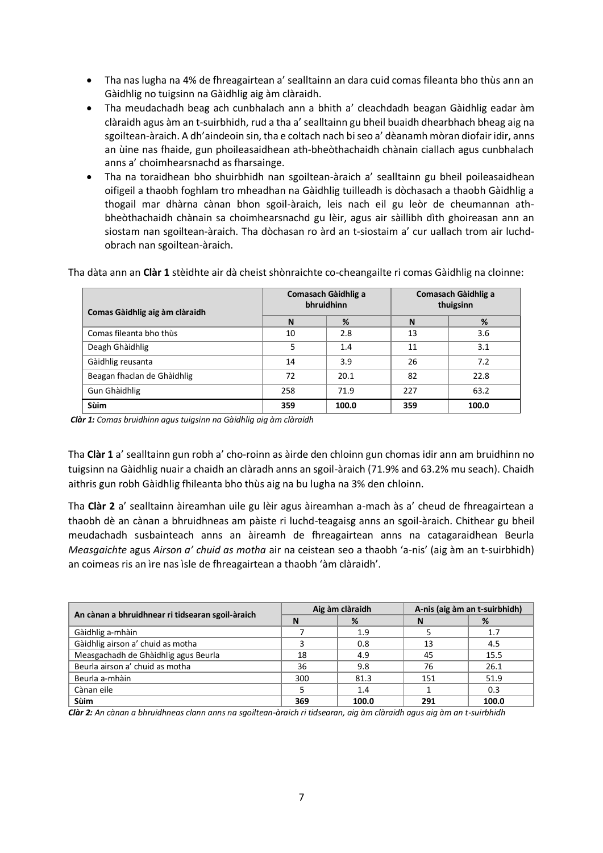- Tha nas lugha na 4% de fhreagairtean a' sealltainn an dara cuid comas fileanta bho thùs ann an Gàidhlig no tuigsinn na Gàidhlig aig àm clàraidh.
- Tha meudachadh beag ach cunbhalach ann a bhith a' cleachdadh beagan Gàidhlig eadar àm clàraidh agus àm an t-suirbhidh, rud a tha a' sealltainn gu bheil buaidh dhearbhach bheag aig na sgoiltean-àraich. A dh'aindeoin sin, tha e coltach nach bi seo a' dèanamh mòran diofair idir, anns an ùine nas fhaide, gun phoileasaidhean ath-bheòthachaidh chànain ciallach agus cunbhalach anns a' choimhearsnachd as fharsainge.
- Tha na toraidhean bho shuirbhidh nan sgoiltean-àraich a' sealltainn gu bheil poileasaidhean oifigeil a thaobh foghlam tro mheadhan na Gàidhlig tuilleadh is dòchasach a thaobh Gàidhlig a thogail mar dhàrna cànan bhon sgoil-àraich, leis nach eil gu leòr de cheumannan athbheòthachaidh chànain sa choimhearsnachd gu lèir, agus air sàillibh dìth ghoireasan ann an siostam nan sgoiltean-àraich. Tha dòchasan ro àrd an t-siostaim a' cur uallach trom air luchdobrach nan sgoiltean-àraich.

Tha dàta ann an **Clàr 1** stèidhte air dà cheist shònraichte co-cheangailte ri comas Gàidhlig na cloinne:

| Comas Gàidhlig aig àm clàraidh |     | Comasach Gàidhlig a<br>bhruidhinn | Comasach Gàidhlig a<br>thuigsinn |       |
|--------------------------------|-----|-----------------------------------|----------------------------------|-------|
|                                | N   | %                                 | N                                | %     |
| Comas fileanta bho thùs        | 10  | 2.8                               | 13                               | 3.6   |
| Deagh Ghàidhlig                | 5   | 1.4                               | 11                               | 3.1   |
| Gàidhlig reusanta              | 14  | 3.9                               | 26                               | 7.2   |
| Beagan fhaclan de Ghàidhlig    | 72  | 20.1                              | 82                               | 22.8  |
| Gun Ghàidhlig                  | 258 | 71.9                              | 227                              | 63.2  |
| <b>Sùim</b>                    | 359 | 100.0                             | 359                              | 100.0 |

*Clàr 1: Comas bruidhinn agus tuigsinn na Gàidhlig aig àm clàraidh*

Tha **Clàr 1** a' sealltainn gun robh a' cho-roinn as àirde den chloinn gun chomas idir ann am bruidhinn no tuigsinn na Gàidhlig nuair a chaidh an clàradh anns an sgoil-àraich (71.9% and 63.2% mu seach). Chaidh aithris gun robh Gàidhlig fhileanta bho thùs aig na bu lugha na 3% den chloinn.

Tha **Clàr 2** a' sealltainn àireamhan uile gu lèir agus àireamhan a-mach às a' cheud de fhreagairtean a thaobh dè an cànan a bhruidhneas am pàiste ri luchd-teagaisg anns an sgoil-àraich. Chithear gu bheil meudachadh susbainteach anns an àireamh de fhreagairtean anns na catagaraidhean Beurla *Measgaichte* agus *Airson a' chuid as motha* air na ceistean seo a thaobh 'a-nis' (aig àm an t-suirbhidh) an coimeas ris an ìre nas ìsle de fhreagairtean a thaobh 'àm clàraidh'.

| An cànan a bhruidhnear ri tidsearan sgoil-àraich |     | Aig àm clàraidh | A-nis (aig àm an t-suirbhidh) |       |
|--------------------------------------------------|-----|-----------------|-------------------------------|-------|
|                                                  | N   | %               | N                             | %     |
| Gàidhlig a-mhàin                                 |     | 1.9             |                               | 1.7   |
| Gàidhlig airson a' chuid as motha                |     | 0.8             | 13                            | 4.5   |
| Measgachadh de Ghàidhlig agus Beurla             | 18  | 4.9             | 45                            | 15.5  |
| Beurla airson a' chuid as motha                  | 36  | 9.8             | 76                            | 26.1  |
| Beurla a-mhàin                                   | 300 | 81.3            | 151                           | 51.9  |
| Cànan eile                                       |     | 1.4             |                               | 0.3   |
| <b>Sùim</b>                                      | 369 | 100.0           | 291                           | 100.0 |

*Clàr 2: An cànan a bhruidhneas clann anns na sgoiltean-àraich ri tidsearan, aig àm clàraidh agus aig àm an t-suirbhidh*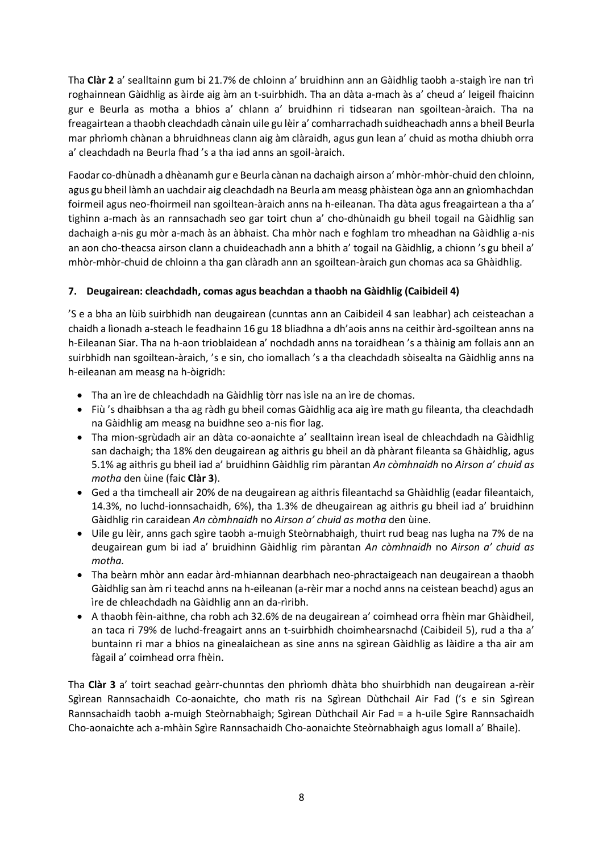Tha **Clàr 2** a' sealltainn gum bi 21.7% de chloinn a' bruidhinn ann an Gàidhlig taobh a-staigh ìre nan trì roghainnean Gàidhlig as àirde aig àm an t-suirbhidh. Tha an dàta a-mach às a' cheud a' leigeil fhaicinn gur e Beurla as motha a bhios a' chlann a' bruidhinn ri tidsearan nan sgoiltean-àraich. Tha na freagairtean a thaobh cleachdadh cànain uile gu lèir a' comharrachadh suidheachadh anns a bheil Beurla mar phrìomh chànan a bhruidhneas clann aig àm clàraidh, agus gun lean a' chuid as motha dhiubh orra a' cleachdadh na Beurla fhad 's a tha iad anns an sgoil-àraich.

Faodar co-dhùnadh a dhèanamh gur e Beurla cànan na dachaigh airson a' mhòr-mhòr-chuid den chloinn, agus gu bheil làmh an uachdair aig cleachdadh na Beurla am measg phàistean òga ann an gnìomhachdan foirmeil agus neo-fhoirmeil nan sgoiltean-àraich anns na h-eileanan. Tha dàta agus freagairtean a tha a' tighinn a-mach às an rannsachadh seo gar toirt chun a' cho-dhùnaidh gu bheil togail na Gàidhlig san dachaigh a-nis gu mòr a-mach às an àbhaist. Cha mhòr nach e foghlam tro mheadhan na Gàidhlig a-nis an aon cho-theacsa airson clann a chuideachadh ann a bhith a' togail na Gàidhlig, a chionn 's gu bheil a' mhòr-mhòr-chuid de chloinn a tha gan clàradh ann an sgoiltean-àraich gun chomas aca sa Ghàidhlig.

## **7. Deugairean: cleachdadh, comas agus beachdan a thaobh na Gàidhlig (Caibideil 4)**

'S e a bha an lùib suirbhidh nan deugairean (cunntas ann an Caibideil 4 san leabhar) ach ceisteachan a chaidh a lìonadh a-steach le feadhainn 16 gu 18 bliadhna a dh'aois anns na ceithir àrd-sgoiltean anns na h-Eileanan Siar. Tha na h-aon trioblaidean a' nochdadh anns na toraidhean 's a thàinig am follais ann an suirbhidh nan sgoiltean-àraich, 's e sin, cho iomallach 's a tha cleachdadh sòisealta na Gàidhlig anns na h-eileanan am measg na h-òigridh:

- Tha an ìre de chleachdadh na Gàidhlig tòrr nas ìsle na an ìre de chomas.
- Fiù 's dhaibhsan a tha ag ràdh gu bheil comas Gàidhlig aca aig ìre math gu fileanta, tha cleachdadh na Gàidhlig am measg na buidhne seo a-nis fìor lag.
- Tha mion-sgrùdadh air an dàta co-aonaichte a' sealltainn ìrean ìseal de chleachdadh na Gàidhlig san dachaigh; tha 18% den deugairean ag aithris gu bheil an dà phàrant fileanta sa Ghàidhlig, agus 5.1% ag aithris gu bheil iad a' bruidhinn Gàidhlig rim pàrantan *An còmhnaidh* no *Airson a' chuid as motha* den ùine (faic **Clàr 3**).
- Ged a tha timcheall air 20% de na deugairean ag aithris fileantachd sa Ghàidhlig (eadar fileantaich, 14.3%, no luchd-ionnsachaidh, 6%), tha 1.3% de dheugairean ag aithris gu bheil iad a' bruidhinn Gàidhlig rin caraidean *An còmhnaidh* no *Airson a' chuid as motha* den ùine.
- Uile gu lèir, anns gach sgìre taobh a-muigh Steòrnabhaigh, thuirt rud beag nas lugha na 7% de na deugairean gum bi iad a' bruidhinn Gàidhlig rim pàrantan *An còmhnaidh* no *Airson a' chuid as motha.*
- Tha beàrn mhòr ann eadar àrd-mhiannan dearbhach neo-phractaigeach nan deugairean a thaobh Gàidhlig san àm ri teachd anns na h-eileanan (a-rèir mar a nochd anns na ceistean beachd) agus an ìre de chleachdadh na Gàidhlig ann an da-rìribh.
- A thaobh fèin-aithne, cha robh ach 32.6% de na deugairean a' coimhead orra fhèin mar Ghàidheil, an taca ri 79% de luchd-freagairt anns an t-suirbhidh choimhearsnachd (Caibideil 5), rud a tha a' buntainn ri mar a bhios na ginealaichean as sine anns na sgìrean Gàidhlig as làidire a tha air am fàgail a' coimhead orra fhèin.

Tha **Clàr 3** a' toirt seachad geàrr-chunntas den phrìomh dhàta bho shuirbhidh nan deugairean a-rèir Sgìrean Rannsachaidh Co-aonaichte, cho math ris na Sgìrean Dùthchail Air Fad ('s e sin Sgìrean Rannsachaidh taobh a-muigh Steòrnabhaigh; Sgìrean Dùthchail Air Fad = a h-uile Sgìre Rannsachaidh Cho-aonaichte ach a-mhàin Sgìre Rannsachaidh Cho-aonaichte Steòrnabhaigh agus Iomall a' Bhaile).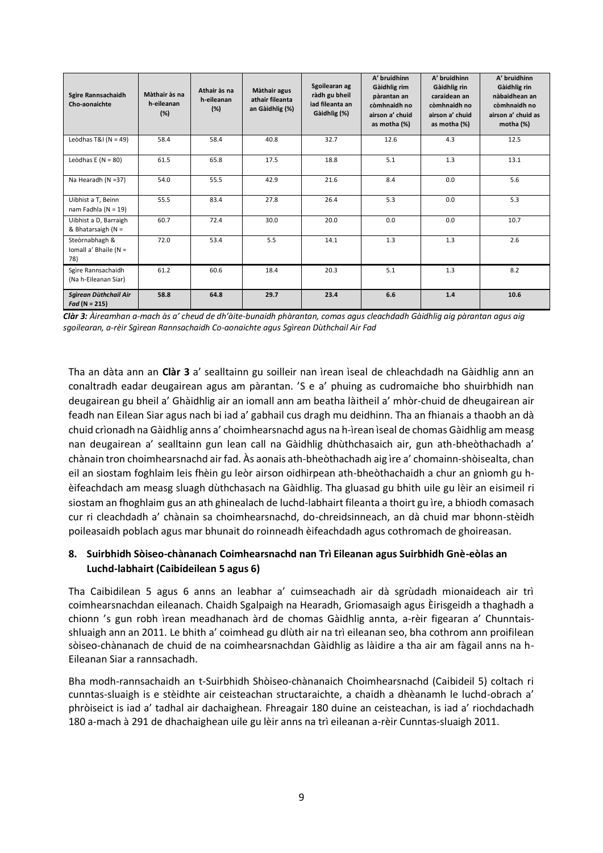| Sgìre Rannsachaidh<br>Cho-aonaichte            | Màthair às na<br>h-eileanan<br>(%) | Athair às na<br>h-eileanan<br>(%) | Màthair agus<br>athair fileanta<br>an Gàidhlig (%) | Sgoilearan ag<br>ràdh gu bheil<br>iad fileanta an<br>Gàidhlig (%) | A' bruidhinn<br>Gàidhlig rim<br>pàrantan an<br>còmhnaidh no<br>airson a' chuid<br>as motha (%) | A' bruidhinn<br>Gàidhlig rin<br>caraidean an<br>còmhnaidh no<br>airson a' chuid<br>as motha (%) | A' bruidhinn<br>Gàidhlig rin<br>nàbaidhean an<br>còmhnaidh no<br>airson a' chuid as<br>motha $(%)$ |
|------------------------------------------------|------------------------------------|-----------------------------------|----------------------------------------------------|-------------------------------------------------------------------|------------------------------------------------------------------------------------------------|-------------------------------------------------------------------------------------------------|----------------------------------------------------------------------------------------------------|
| Leòdhas T&I ( $N = 49$ )                       | 58.4                               | 58.4                              | 40.8                                               | 32.7                                                              | 12.6                                                                                           | 4.3                                                                                             | 12.5                                                                                               |
| Leòdhas E ( $N = 80$ )                         | 61.5                               | 65.8                              | 17.5                                               | 18.8                                                              | 5.1                                                                                            | 1.3                                                                                             | 13.1                                                                                               |
| Na Hearadh (N =37)                             | 54.0                               | 55.5                              | 42.9                                               | 21.6                                                              | 8.4                                                                                            | 0.0                                                                                             | 5.6                                                                                                |
| Uibhist a T, Beinn<br>nam Fadhla ( $N = 19$ )  | 55.5                               | 83.4                              | 27.8                                               | 26.4                                                              | 5.3                                                                                            | 0.0                                                                                             | 5.3                                                                                                |
| Uibhist a D, Barraigh<br>& Bhatarsaigh $(N =$  | 60.7                               | 72.4                              | 30.0                                               | 20.0                                                              | 0.0                                                                                            | 0.0                                                                                             | 10.7                                                                                               |
| Steòrnabhagh &<br>Iomall a' Bhaile (N =<br>78) | 72.0                               | 53.4                              | 5.5                                                | 14.1                                                              | 1.3                                                                                            | 1.3                                                                                             | 2.6                                                                                                |
| Sgìre Rannsachaidh<br>(Na h-Eileanan Siar)     | 61.2                               | 60.6                              | 18.4                                               | 20.3                                                              | 5.1                                                                                            | 1.3                                                                                             | 8.2                                                                                                |
| Sgìrean Dùthchail Air<br>$Fad (N = 215)$       | 58.8                               | 64.8                              | 29.7                                               | 23.4                                                              | 6.6                                                                                            | 1.4                                                                                             | 10.6                                                                                               |

*Clàr 3: Àireamhan a-mach às a' cheud de dh'àite-bunaidh phàrantan, comas agus cleachdadh Gàidhlig aig pàrantan agus aig sgoilearan, a-rèir Sgìrean Rannsachaidh Co-aonaichte agus Sgìrean Dùthchail Air Fad*

Tha an dàta ann an **Clàr 3** a' sealltainn gu soilleir nan ìrean ìseal de chleachdadh na Gàidhlig ann an conaltradh eadar deugairean agus am pàrantan. 'S e a' phuing as cudromaiche bho shuirbhidh nan deugairean gu bheil a' Ghàidhlig air an iomall ann am beatha làitheil a' mhòr-chuid de dheugairean air feadh nan Eilean Siar agus nach bi iad a' gabhail cus dragh mu deidhinn. Tha an fhianais a thaobh an dà chuid crìonadh na Gàidhlig anns a' choimhearsnachd agus na h-ìrean ìseal de chomas Gàidhlig am measg nan deugairean a' sealltainn gun lean call na Gàidhlig dhùthchasaich air, gun ath-bheòthachadh a' chànain tron choimhearsnachd air fad. Às aonais ath-bheòthachadh aig ìre a' chomainn-shòisealta, chan eil an siostam foghlaim leis fhèin gu leòr airson oidhirpean ath-bheòthachaidh a chur an gnìomh gu hèifeachdach am measg sluagh dùthchasach na Gàidhlig. Tha gluasad gu bhith uile gu lèir an eisimeil ri siostam an fhoghlaim gus an ath ghinealach de luchd-labhairt fileanta a thoirt gu ìre, a bhiodh comasach cur ri cleachdadh a' chànain sa choimhearsnachd, do-chreidsinneach, an dà chuid mar bhonn-stèidh poileasaidh poblach agus mar bhunait do roinneadh èifeachdadh agus cothromach de ghoireasan.

### **8. Suirbhidh Sòiseo-chànanach Coimhearsnachd nan Trì Eileanan agus Suirbhidh Gnè-eòlas an Luchd-labhairt (Caibideilean 5 agus 6)**

Tha Caibidilean 5 agus 6 anns an leabhar a' cuimseachadh air dà sgrùdadh mionaideach air trì coimhearsnachdan eileanach. Chaidh Sgalpaigh na Hearadh, Griomasaigh agus Èirisgeidh a thaghadh a chionn 's gun robh ìrean meadhanach àrd de chomas Gàidhlig annta, a-rèir figearan a' Chunntaisshluaigh ann an 2011. Le bhith a' coimhead gu dlùth air na trì eileanan seo, bha cothrom ann proifilean sòiseo-chànanach de chuid de na coimhearsnachdan Gàidhlig as làidire a tha air am fàgail anns na h-Eileanan Siar a rannsachadh.

Bha modh-rannsachaidh an t-Suirbhidh Shòiseo-chànanaich Choimhearsnachd (Caibideil 5) coltach ri cunntas-sluaigh is e stèidhte air ceisteachan structaraichte, a chaidh a dhèanamh le luchd-obrach a' phròiseict is iad a' tadhal air dachaighean. Fhreagair 180 duine an ceisteachan, is iad a' riochdachadh 180 a-mach à 291 de dhachaighean uile gu lèir anns na trì eileanan a-rèir Cunntas-sluaigh 2011.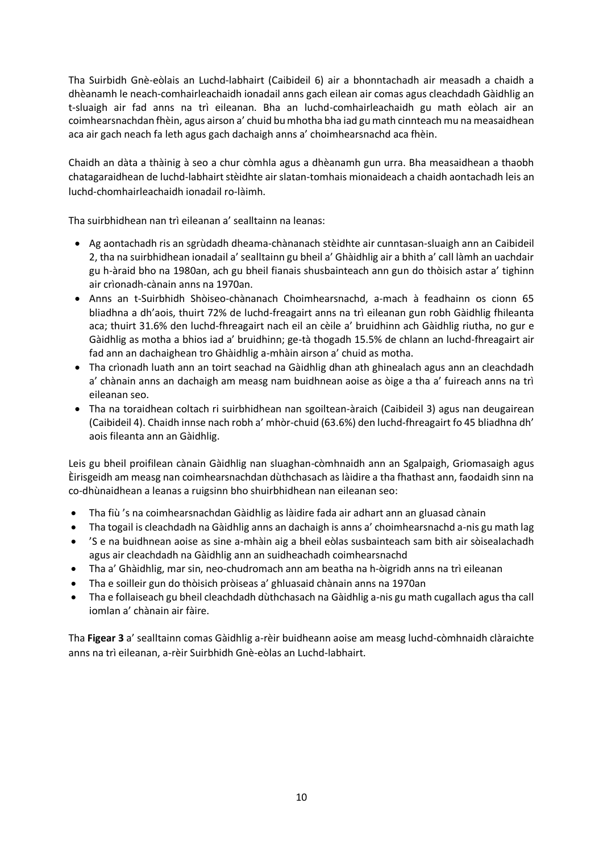Tha Suirbidh Gnè-eòlais an Luchd-labhairt (Caibideil 6) air a bhonntachadh air measadh a chaidh a dhèanamh le neach-comhairleachaidh ionadail anns gach eilean air comas agus cleachdadh Gàidhlig an t-sluaigh air fad anns na trì eileanan. Bha an luchd-comhairleachaidh gu math eòlach air an coimhearsnachdan fhèin, agus airson a' chuid bu mhotha bha iad gu math cinnteach mu na measaidhean aca air gach neach fa leth agus gach dachaigh anns a' choimhearsnachd aca fhèin.

Chaidh an dàta a thàinig à seo a chur còmhla agus a dhèanamh gun urra. Bha measaidhean a thaobh chatagaraidhean de luchd-labhairt stèidhte air slatan-tomhais mionaideach a chaidh aontachadh leis an luchd-chomhairleachaidh ionadail ro-làimh.

Tha suirbhidhean nan trì eileanan a' sealltainn na leanas:

- Ag aontachadh ris an sgrùdadh dheama-chànanach stèidhte air cunntasan-sluaigh ann an Caibideil 2, tha na suirbhidhean ionadail a' sealltainn gu bheil a' Ghàidhlig air a bhith a' call làmh an uachdair gu h-àraid bho na 1980an, ach gu bheil fianais shusbainteach ann gun do thòisich astar a' tighinn air crìonadh-cànain anns na 1970an.
- Anns an t-Suirbhidh Shòiseo-chànanach Choimhearsnachd, a-mach à feadhainn os cionn 65 bliadhna a dh'aois, thuirt 72% de luchd-freagairt anns na trì eileanan gun robh Gàidhlig fhileanta aca; thuirt 31.6% den luchd-fhreagairt nach eil an cèile a' bruidhinn ach Gàidhlig riutha, no gur e Gàidhlig as motha a bhios iad a' bruidhinn; ge-tà thogadh 15.5% de chlann an luchd-fhreagairt air fad ann an dachaighean tro Ghàidhlig a-mhàin airson a' chuid as motha.
- Tha crìonadh luath ann an toirt seachad na Gàidhlig dhan ath ghinealach agus ann an cleachdadh a' chànain anns an dachaigh am measg nam buidhnean aoise as òige a tha a' fuireach anns na trì eileanan seo.
- Tha na toraidhean coltach ri suirbhidhean nan sgoiltean-àraich (Caibideil 3) agus nan deugairean (Caibideil 4). Chaidh innse nach robh a' mhòr-chuid (63.6%) den luchd-fhreagairt fo 45 bliadhna dh' aois fileanta ann an Gàidhlig.

Leis gu bheil proifilean cànain Gàidhlig nan sluaghan-còmhnaidh ann an Sgalpaigh, Griomasaigh agus Èirisgeidh am measg nan coimhearsnachdan dùthchasach as làidire a tha fhathast ann, faodaidh sinn na co-dhùnaidhean a leanas a ruigsinn bho shuirbhidhean nan eileanan seo:

- Tha fiù 's na coimhearsnachdan Gàidhlig as làidire fada air adhart ann an gluasad cànain
- Tha togail is cleachdadh na Gàidhlig anns an dachaigh is anns a' choimhearsnachd a-nis gu math lag
- 'S e na buidhnean aoise as sine a-mhàin aig a bheil eòlas susbainteach sam bith air sòisealachadh agus air cleachdadh na Gàidhlig ann an suidheachadh coimhearsnachd
- Tha a' Ghàidhlig, mar sin, neo-chudromach ann am beatha na h-òigridh anns na trì eileanan
- Tha e soilleir gun do thòisich pròiseas a' ghluasaid chànain anns na 1970an
- Tha e follaiseach gu bheil cleachdadh dùthchasach na Gàidhlig a-nis gu math cugallach agus tha call iomlan a' chànain air fàire.

Tha **Figear 3** a' sealltainn comas Gàidhlig a-rèir buidheann aoise am measg luchd-còmhnaidh clàraichte anns na trì eileanan, a-rèir Suirbhidh Gnè-eòlas an Luchd-labhairt.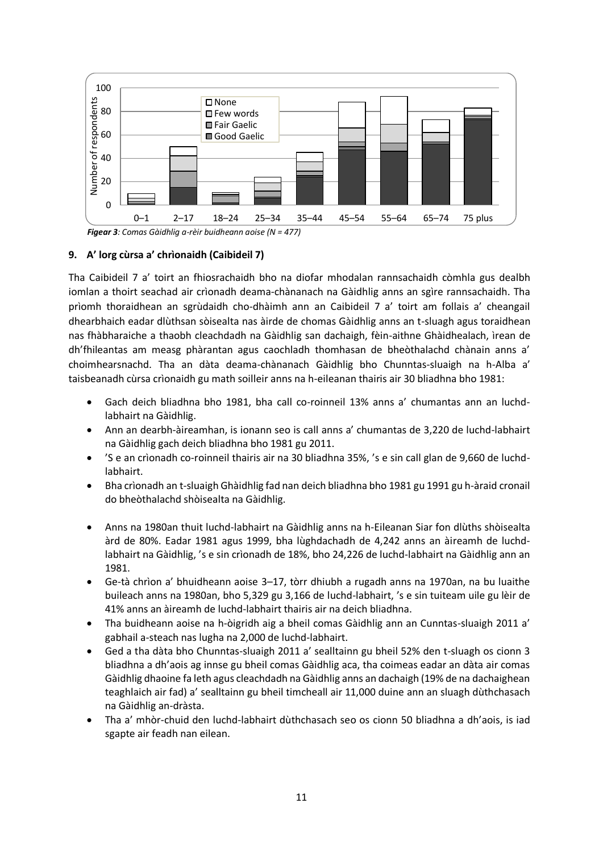

 *Figear 3: Comas Gàidhlig a-rèir buidheann aoise (N = 477)*

#### **9. A' lorg cùrsa a' chrìonaidh (Caibideil 7)**

Tha Caibideil 7 a' toirt an fhiosrachaidh bho na diofar mhodalan rannsachaidh còmhla gus dealbh iomlan a thoirt seachad air crìonadh deama-chànanach na Gàidhlig anns an sgìre rannsachaidh. Tha prìomh thoraidhean an sgrùdaidh cho-dhàimh ann an Caibideil 7 a' toirt am follais a' cheangail dhearbhaich eadar dlùthsan sòisealta nas àirde de chomas Gàidhlig anns an t-sluagh agus toraidhean nas fhàbharaiche a thaobh cleachdadh na Gàidhlig san dachaigh, fèin-aithne Ghàidhealach, ìrean de dh'fhileantas am measg phàrantan agus caochladh thomhasan de bheòthalachd chànain anns a' choimhearsnachd. Tha an dàta deama-chànanach Gàidhlig bho Chunntas-sluaigh na h-Alba a' taisbeanadh cùrsa crìonaidh gu math soilleir anns na h-eileanan thairis air 30 bliadhna bho 1981:

- Gach deich bliadhna bho 1981, bha call co-roinneil 13% anns a' chumantas ann an luchdlabhairt na Gàidhlig.
- Ann an dearbh-àireamhan, is ionann seo is call anns a' chumantas de 3,220 de luchd-labhairt na Gàidhlig gach deich bliadhna bho 1981 gu 2011.
- 'S e an crìonadh co-roinneil thairis air na 30 bliadhna 35%, 's e sin call glan de 9,660 de luchdlabhairt.
- Bha crìonadh an t-sluaigh Ghàidhlig fad nan deich bliadhna bho 1981 gu 1991 gu h-àraid cronail do bheòthalachd shòisealta na Gàidhlig.
- Anns na 1980an thuit luchd-labhairt na Gàidhlig anns na h-Eileanan Siar fon dlùths shòisealta àrd de 80%. Eadar 1981 agus 1999, bha lùghdachadh de 4,242 anns an àireamh de luchdlabhairt na Gàidhlig, 's e sin crìonadh de 18%, bho 24,226 de luchd-labhairt na Gàidhlig ann an 1981.
- Ge-tà chrìon a' bhuidheann aoise 3–17, tòrr dhiubh a rugadh anns na 1970an, na bu luaithe buileach anns na 1980an, bho 5,329 gu 3,166 de luchd-labhairt, 's e sin tuiteam uile gu lèir de 41% anns an àireamh de luchd-labhairt thairis air na deich bliadhna.
- Tha buidheann aoise na h-òigridh aig a bheil comas Gàidhlig ann an Cunntas-sluaigh 2011 a' gabhail a-steach nas lugha na 2,000 de luchd-labhairt.
- Ged a tha dàta bho Chunntas-sluaigh 2011 a' sealltainn gu bheil 52% den t-sluagh os cionn 3 bliadhna a dh'aois ag innse gu bheil comas Gàidhlig aca, tha coimeas eadar an dàta air comas Gàidhlig dhaoine fa leth agus cleachdadh na Gàidhlig anns an dachaigh (19% de na dachaighean teaghlaich air fad) a' sealltainn gu bheil timcheall air 11,000 duine ann an sluagh dùthchasach na Gàidhlig an-dràsta.
- Tha a' mhòr-chuid den luchd-labhairt dùthchasach seo os cionn 50 bliadhna a dh'aois, is iad sgapte air feadh nan eilean.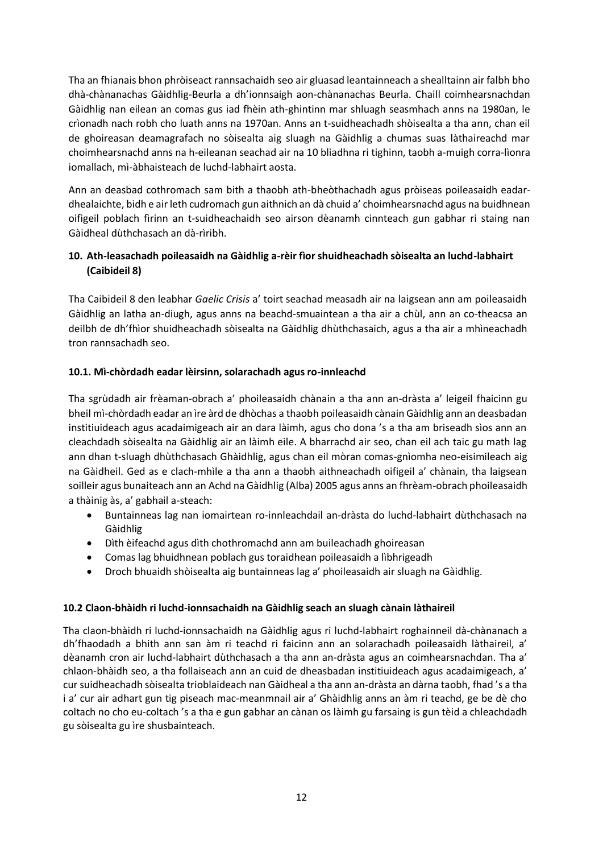Tha an fhianais bhon phròiseact rannsachaidh seo air gluasad leantainneach a shealltainn air falbh bho dhà-chànanachas Gàidhlig-Beurla a dh'ionnsaigh aon-chànanachas Beurla. Chaill coimhearsnachdan Gàidhlig nan eilean an comas gus iad fhèin ath-ghintinn mar shluagh seasmhach anns na 1980an, le crìonadh nach robh cho luath anns na 1970an. Anns an t-suidheachadh shòisealta a tha ann, chan eil de ghoireasan deamagrafach no sòisealta aig sluagh na Gàidhlig a chumas suas làthaireachd mar choimhearsnachd anns na h-eileanan seachad air na 10 bliadhna ri tighinn, taobh a-muigh corra-lìonra iomallach, mì-àbhaisteach de luchd-labhairt aosta.

Ann an deasbad cothromach sam bith a thaobh ath-bheòthachadh agus pròiseas poileasaidh eadardhealaichte, bidh e air leth cudromach gun aithnich an dà chuid a' choimhearsnachd agus na buidhnean oifigeil poblach fìrinn an t-suidheachaidh seo airson dèanamh cinnteach gun gabhar ri staing nan Gàidheal dùthchasach an dà-rìribh.

## **10. Ath-leasachadh poileasaidh na Gàidhlig a-rèir fìor shuidheachadh sòisealta an luchd-labhairt (Caibideil 8)**

Tha Caibideil 8 den leabhar *Gaelic Crisis* a' toirt seachad measadh air na laigsean ann am poileasaidh Gàidhlig an latha an-diugh, agus anns na beachd-smuaintean a tha air a chùl, ann an co-theacsa an deilbh de dh'fhìor shuidheachadh sòisealta na Gàidhlig dhùthchasaich, agus a tha air a mhìneachadh tron rannsachadh seo.

## **10.1. Mì-chòrdadh eadar lèirsinn, solarachadh agus ro-innleachd**

Tha sgrùdadh air frèaman-obrach a' phoileasaidh chànain a tha ann an-dràsta a' leigeil fhaicinn gu bheil mì-chòrdadh eadar an ìre àrd de dhòchas a thaobh poileasaidh cànain Gàidhlig ann an deasbadan institiuideach agus acadaimigeach air an dara làimh, agus cho dona 's a tha am briseadh sìos ann an cleachdadh sòisealta na Gàidhlig air an làimh eile. A bharrachd air seo, chan eil ach taic gu math lag ann dhan t-sluagh dhùthchasach Ghàidhlig, agus chan eil mòran comas-gnìomha neo-eisimileach aig na Gàidheil. Ged as e clach-mhìle a tha ann a thaobh aithneachadh oifigeil a' chànain, tha laigsean soilleir agus bunaiteach ann an Achd na Gàidhlig (Alba) 2005 agus anns an fhrèam-obrach phoileasaidh a thàinig às, a' gabhail a-steach:

- Buntainneas lag nan iomairtean ro-innleachdail an-dràsta do luchd-labhairt dùthchasach na Gàidhlig
- Dìth èifeachd agus dìth chothromachd ann am buileachadh ghoireasan
- Comas lag bhuidhnean poblach gus toraidhean poileasaidh a lìbhrigeadh
- Droch bhuaidh shòisealta aig buntainneas lag a' phoileasaidh air sluagh na Gàidhlig.

### **10.2 Claon-bhàidh ri luchd-ionnsachaidh na Gàidhlig seach an sluagh cànain làthaireil**

Tha claon-bhàidh ri luchd-ionnsachaidh na Gàidhlig agus ri luchd-labhairt roghainneil dà-chànanach a dh'fhaodadh a bhith ann san àm ri teachd ri faicinn ann an solarachadh poileasaidh làthaireil, a' dèanamh cron air luchd-labhairt dùthchasach a tha ann an-dràsta agus an coimhearsnachdan. Tha a' chlaon-bhàidh seo, a tha follaiseach ann an cuid de dheasbadan institiuideach agus acadaimigeach, a' cur suidheachadh sòisealta trioblaideach nan Gàidheal a tha ann an-dràsta an dàrna taobh, fhad 's a tha i a' cur air adhart gun tig piseach mac-meanmnail air a' Ghàidhlig anns an àm ri teachd, ge be dè cho coltach no cho eu-coltach 's a tha e gun gabhar an cànan os làimh gu farsaing is gun tèid a chleachdadh gu sòisealta gu ìre shusbainteach.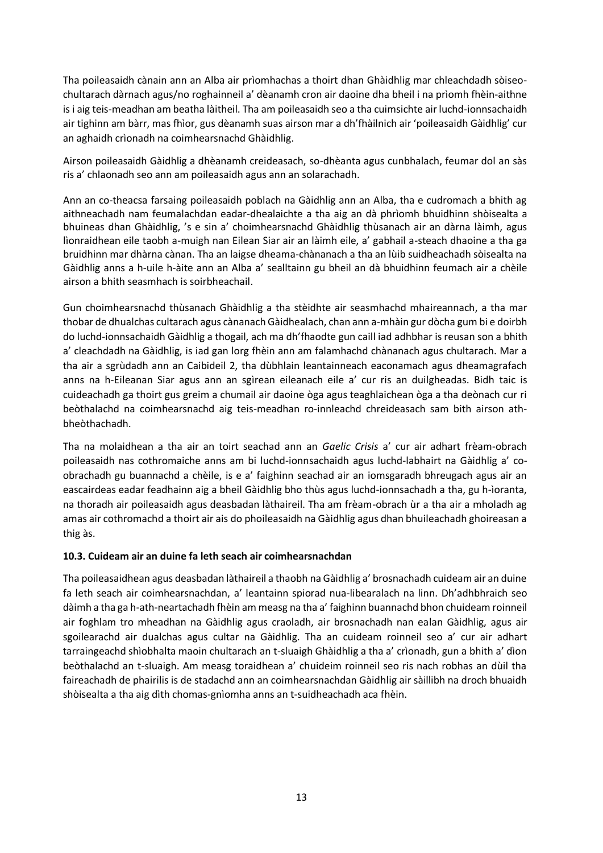Tha poileasaidh cànain ann an Alba air prìomhachas a thoirt dhan Ghàidhlig mar chleachdadh sòiseochultarach dàrnach agus/no roghainneil a' dèanamh cron air daoine dha bheil i na prìomh fhèin-aithne is i aig teis-meadhan am beatha làitheil. Tha am poileasaidh seo a tha cuimsichte air luchd-ionnsachaidh air tighinn am bàrr, mas fhìor, gus dèanamh suas airson mar a dh'fhàilnich air 'poileasaidh Gàidhlig' cur an aghaidh crìonadh na coimhearsnachd Ghàidhlig.

Airson poileasaidh Gàidhlig a dhèanamh creideasach, so-dhèanta agus cunbhalach, feumar dol an sàs ris a' chlaonadh seo ann am poileasaidh agus ann an solarachadh.

Ann an co-theacsa farsaing poileasaidh poblach na Gàidhlig ann an Alba, tha e cudromach a bhith ag aithneachadh nam feumalachdan eadar-dhealaichte a tha aig an dà phrìomh bhuidhinn shòisealta a bhuineas dhan Ghàidhlig, 's e sin a' choimhearsnachd Ghàidhlig thùsanach air an dàrna làimh, agus lìonraidhean eile taobh a-muigh nan Eilean Siar air an làimh eile, a' gabhail a-steach dhaoine a tha ga bruidhinn mar dhàrna cànan. Tha an laigse dheama-chànanach a tha an lùib suidheachadh sòisealta na Gàidhlig anns a h-uile h-àite ann an Alba a' sealltainn gu bheil an dà bhuidhinn feumach air a chèile airson a bhith seasmhach is soirbheachail.

Gun choimhearsnachd thùsanach Ghàidhlig a tha stèidhte air seasmhachd mhaireannach, a tha mar thobar de dhualchas cultarach agus cànanach Gàidhealach, chan ann a-mhàin gur dòcha gum bi e doirbh do luchd-ionnsachaidh Gàidhlig a thogail, ach ma dh'fhaodte gun caill iad adhbhar is reusan son a bhith a' cleachdadh na Gàidhlig, is iad gan lorg fhèin ann am falamhachd chànanach agus chultarach. Mar a tha air a sgrùdadh ann an Caibideil 2, tha dùbhlain leantainneach eaconamach agus dheamagrafach anns na h-Eileanan Siar agus ann an sgìrean eileanach eile a' cur ris an duilgheadas. Bidh taic is cuideachadh ga thoirt gus greim a chumail air daoine òga agus teaghlaichean òga a tha deònach cur ri beòthalachd na coimhearsnachd aig teis-meadhan ro-innleachd chreideasach sam bith airson athbheòthachadh.

Tha na molaidhean a tha air an toirt seachad ann an *Gaelic Crisis* a' cur air adhart frèam-obrach poileasaidh nas cothromaiche anns am bi luchd-ionnsachaidh agus luchd-labhairt na Gàidhlig a' coobrachadh gu buannachd a chèile, is e a' faighinn seachad air an iomsgaradh bhreugach agus air an eascairdeas eadar feadhainn aig a bheil Gàidhlig bho thùs agus luchd-ionnsachadh a tha, gu h-ìoranta, na thoradh air poileasaidh agus deasbadan làthaireil. Tha am frèam-obrach ùr a tha air a mholadh ag amas air cothromachd a thoirt air ais do phoileasaidh na Gàidhlig agus dhan bhuileachadh ghoireasan a thig às.

#### **10.3. Cuideam air an duine fa leth seach air coimhearsnachdan**

Tha poileasaidhean agus deasbadan làthaireil a thaobh na Gàidhlig a' brosnachadh cuideam air an duine fa leth seach air coimhearsnachdan, a' leantainn spiorad nua-libearalach na linn. Dh'adhbhraich seo dàimh a tha ga h-ath-neartachadh fhèin am measg na tha a' faighinn buannachd bhon chuideam roinneil air foghlam tro mheadhan na Gàidhlig agus craoladh, air brosnachadh nan ealan Gàidhlig, agus air sgoilearachd air dualchas agus cultar na Gàidhlig. Tha an cuideam roinneil seo a' cur air adhart tarraingeachd shìobhalta maoin chultarach an t-sluaigh Ghàidhlig a tha a' crìonadh, gun a bhith a' dìon beòthalachd an t-sluaigh. Am measg toraidhean a' chuideim roinneil seo ris nach robhas an dùil tha faireachadh de phairilis is de stadachd ann an coimhearsnachdan Gàidhlig air sàillibh na droch bhuaidh shòisealta a tha aig dìth chomas-gnìomha anns an t-suidheachadh aca fhèin.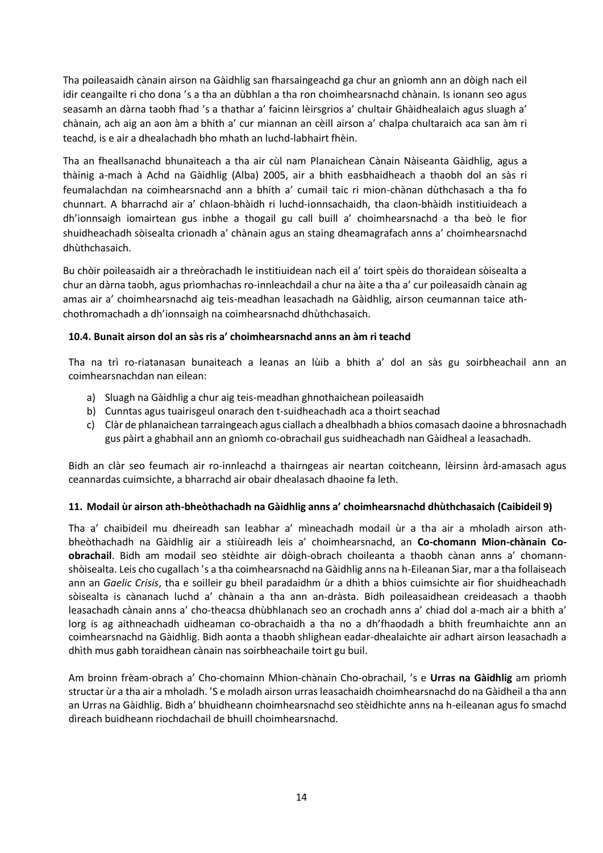Tha poileasaidh cànain airson na Gàidhlig san fharsaingeachd ga chur an gnìomh ann an dòigh nach eil idir ceangailte ri cho dona 's a tha an dùbhlan a tha ron choimhearsnachd chànain. Is ionann seo agus seasamh an dàrna taobh fhad 's a thathar a' faicinn lèirsgrios a' chultair Ghàidhealaich agus sluagh a' chànain, ach aig an aon àm a bhith a' cur miannan an cèill airson a' chalpa chultaraich aca san àm ri teachd, is e air a dhealachadh bho mhath an luchd-labhairt fhèin.

Tha an fheallsanachd bhunaiteach a tha air cùl nam Planaichean Cànain Nàiseanta Gàidhlig, agus a thàinig a-mach à Achd na Gàidhlig (Alba) 2005, air a bhith easbhaidheach a thaobh dol an sàs ri feumalachdan na coimhearsnachd ann a bhith a' cumail taic ri mion-chànan dùthchasach a tha fo chunnart. A bharrachd air a' chlaon-bhàidh ri luchd-ionnsachaidh, tha claon-bhàidh institiuideach a dh'ionnsaigh iomairtean gus inbhe a thogail gu call buill a' choimhearsnachd a tha beò le fìor shuidheachadh sòisealta crìonadh a' chànain agus an staing dheamagrafach anns a' choimhearsnachd dhùthchasaich.

Bu chòir poileasaidh air a threòrachadh le institiuidean nach eil a' toirt spèis do thoraidean sòisealta a chur an dàrna taobh, agus prìomhachas ro-innleachdail a chur na àite a tha a' cur poileasaidh cànain ag amas air a' choimhearsnachd aig teis-meadhan leasachadh na Gàidhlig, airson ceumannan taice athchothromachadh a dh'ionnsaigh na coimhearsnachd dhùthchasaich.

### **10.4. Bunait airson dol an sàs ris a' choimhearsnachd anns an àm ri teachd**

Tha na trì ro-riatanasan bunaiteach a leanas an lùib a bhith a' dol an sàs gu soirbheachail ann an coimhearsnachdan nan eilean:

- a) Sluagh na Gàidhlig a chur aig teis-meadhan ghnothaichean poileasaidh
- b) Cunntas agus tuairisgeul onarach den t-suidheachadh aca a thoirt seachad
- c) Clàr de phlanaichean tarraingeach agus ciallach a dhealbhadh a bhios comasach daoine a bhrosnachadh gus pàirt a ghabhail ann an gnìomh co-obrachail gus suidheachadh nan Gàidheal a leasachadh.

Bidh an clàr seo feumach air ro-innleachd a thairngeas air neartan coitcheann, lèirsinn àrd-amasach agus ceannardas cuimsichte, a bharrachd air obair dhealasach dhaoine fa leth.

#### **11. Modail ùr airson ath-bheòthachadh na Gàidhlig anns a' choimhearsnachd dhùthchasaich (Caibideil 9)**

Tha a' chaibideil mu dheireadh san leabhar a' mìneachadh modail ùr a tha air a mholadh airson athbheòthachadh na Gàidhlig air a stiùireadh leis a' choimhearsnachd, an **Co-chomann Mion-chànain Coobrachail**. Bidh am modail seo stèidhte air dòigh-obrach choileanta a thaobh cànan anns a' chomannshòisealta. Leis cho cugallach 's a tha coimhearsnachd na Gàidhlig anns na h-Eileanan Siar, mar a tha follaiseach ann an *Gaelic Crisis*, tha e soilleir gu bheil paradaidhm ùr a dhìth a bhios cuimsichte air fìor shuidheachadh sòisealta is cànanach luchd a' chànain a tha ann an-dràsta. Bidh poileasaidhean creideasach a thaobh leasachadh cànain anns a' cho-theacsa dhùbhlanach seo an crochadh anns a' chiad dol a-mach air a bhith a' lorg is ag aithneachadh uidheaman co-obrachaidh a tha no a dh'fhaodadh a bhith freumhaichte ann an coimhearsnachd na Gàidhlig. Bidh aonta a thaobh shlighean eadar-dhealaichte air adhart airson leasachadh a dhìth mus gabh toraidhean cànain nas soirbheachaile toirt gu buil.

Am broinn frèam-obrach a' Cho-chomainn Mhion-chànain Cho-obrachail, 's e **Urras na Gàidhlig** am prìomh structar ùr a tha air a mholadh. 'S e moladh airson urras leasachaidh choimhearsnachd do na Gàidheil a tha ann an Urras na Gàidhlig. Bidh a' bhuidheann choimhearsnachd seo stèidhichte anns na h-eileanan agus fo smachd dìreach buidheann riochdachail de bhuill choimhearsnachd.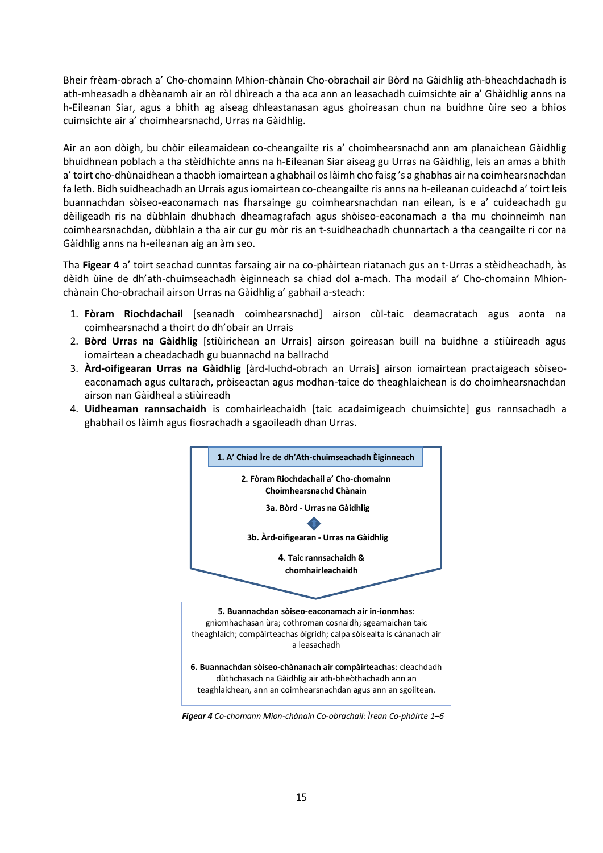Bheir frèam-obrach a' Cho-chomainn Mhion-chànain Cho-obrachail air Bòrd na Gàidhlig ath-bheachdachadh is ath-mheasadh a dhèanamh air an ròl dhìreach a tha aca ann an leasachadh cuimsichte air a' Ghàidhlig anns na h-Eileanan Siar, agus a bhith ag aiseag dhleastanasan agus ghoireasan chun na buidhne ùire seo a bhios cuimsichte air a' choimhearsnachd, Urras na Gàidhlig.

Air an aon dòigh, bu chòir eileamaidean co-cheangailte ris a' choimhearsnachd ann am planaichean Gàidhlig bhuidhnean poblach a tha stèidhichte anns na h-Eileanan Siar aiseag gu Urras na Gàidhlig, leis an amas a bhith a' toirt cho-dhùnaidhean a thaobh iomairtean a ghabhail os làimh cho faisg 's a ghabhas air na coimhearsnachdan fa leth. Bidh suidheachadh an Urrais agus iomairtean co-cheangailte ris anns na h-eileanan cuideachd a' toirt leis buannachdan sòiseo-eaconamach nas fharsainge gu coimhearsnachdan nan eilean, is e a' cuideachadh gu dèiligeadh ris na dùbhlain dhubhach dheamagrafach agus shòiseo-eaconamach a tha mu choinneimh nan coimhearsnachdan, dùbhlain a tha air cur gu mòr ris an t-suidheachadh chunnartach a tha ceangailte ri cor na Gàidhlig anns na h-eileanan aig an àm seo.

Tha **Figear 4** a' toirt seachad cunntas farsaing air na co-phàirtean riatanach gus an t-Urras a stèidheachadh, às dèidh ùine de dh'ath-chuimseachadh èiginneach sa chiad dol a-mach. Tha modail a' Cho-chomainn Mhionchànain Cho-obrachail airson Urras na Gàidhlig a' gabhail a-steach:

- 1. **Fòram Riochdachail** [seanadh coimhearsnachd] airson cùl-taic deamacratach agus aonta na coimhearsnachd a thoirt do dh'obair an Urrais
- 2. **Bòrd Urras na Gàidhlig** [stiùirichean an Urrais] airson goireasan buill na buidhne a stiùireadh agus iomairtean a cheadachadh gu buannachd na ballrachd
- 3. **Àrd-oifigearan Urras na Gàidhlig** [àrd-luchd-obrach an Urrais] airson iomairtean practaigeach sòiseoeaconamach agus cultarach, pròiseactan agus modhan-taice do theaghlaichean is do choimhearsnachdan airson nan Gàidheal a stiùireadh
- 4. **Uidheaman rannsachaidh** is comhairleachaidh [taic acadaimigeach chuimsichte] gus rannsachadh a ghabhail os làimh agus fiosrachadh a sgaoileadh dhan Urras.



 *Figear 4 Co-chomann Mion-chànain Co-obrachail: Ìrean Co-phàirte 1–6*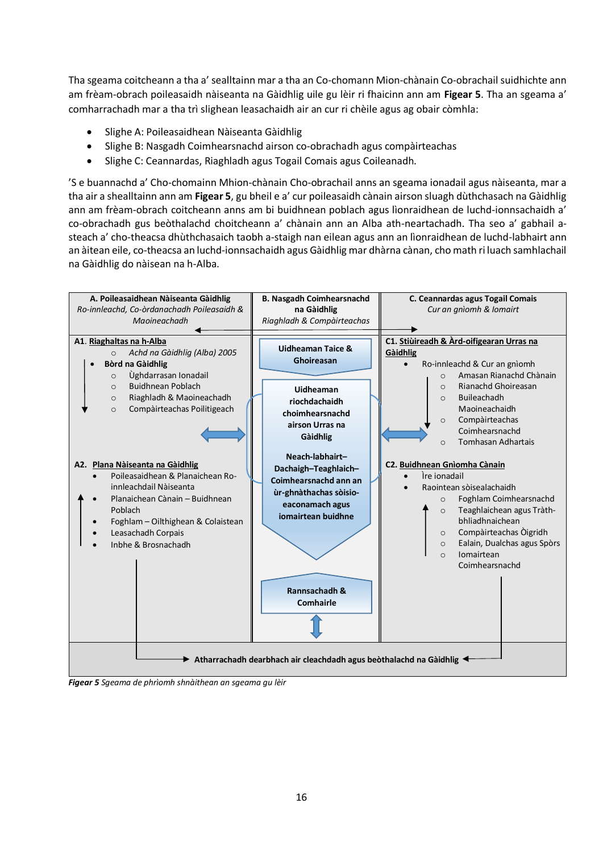Tha sgeama coitcheann a tha a' sealltainn mar a tha an Co-chomann Mion-chànain Co-obrachail suidhichte ann am frèam-obrach poileasaidh nàiseanta na Gàidhlig uile gu lèir ri fhaicinn ann am **Figear 5**. Tha an sgeama a' comharrachadh mar a tha trì slighean leasachaidh air an cur ri chèile agus ag obair còmhla:

- Slighe A: Poileasaidhean Nàiseanta Gàidhlig
- Slighe B: Nasgadh Coimhearsnachd airson co-obrachadh agus compàirteachas
- Slighe C: Ceannardas, Riaghladh agus Togail Comais agus Coileanadh.

'S e buannachd a' Cho-chomainn Mhion-chànain Cho-obrachail anns an sgeama ionadail agus nàiseanta, mar a tha air a shealltainn ann am **Figear 5**, gu bheil e a' cur poileasaidh cànain airson sluagh dùthchasach na Gàidhlig ann am frèam-obrach coitcheann anns am bi buidhnean poblach agus lìonraidhean de luchd-ionnsachaidh a' co-obrachadh gus beòthalachd choitcheann a' chànain ann an Alba ath-neartachadh. Tha seo a' gabhail asteach a' cho-theacsa dhùthchasaich taobh a-staigh nan eilean agus ann an lìonraidhean de luchd-labhairt ann an àitean eile, co-theacsa an luchd-ionnsachaidh agus Gàidhlig mar dhàrna cànan, cho math ri luach samhlachail na Gàidhlig do nàisean na h-Alba.



*Figear 5 Sgeama de phrìomh shnàithean an sgeama gu lèir*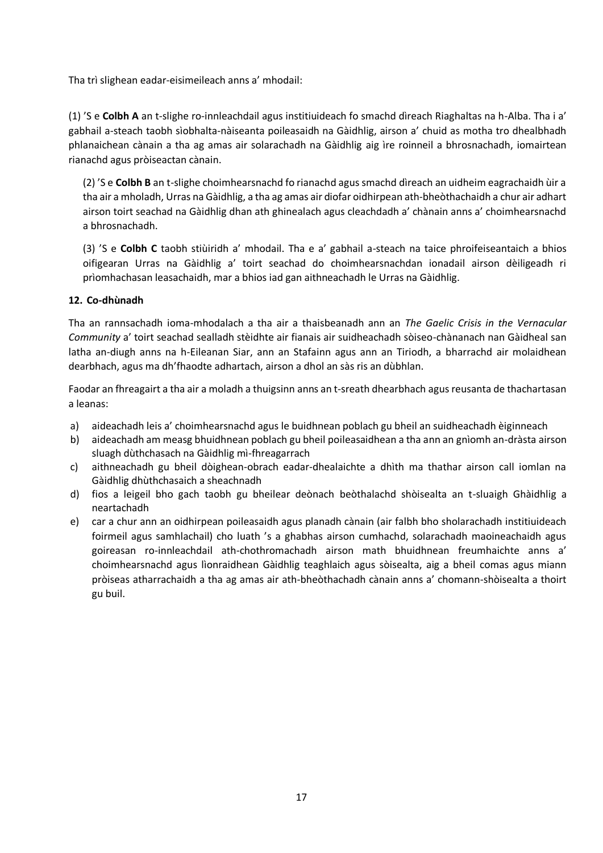Tha trì slighean eadar-eisimeileach anns a' mhodail:

(1) 'S e **Colbh A** an t-slighe ro-innleachdail agus institiuideach fo smachd dìreach Riaghaltas na h-Alba. Tha i a' gabhail a-steach taobh sìobhalta-nàiseanta poileasaidh na Gàidhlig, airson a' chuid as motha tro dhealbhadh phlanaichean cànain a tha ag amas air solarachadh na Gàidhlig aig ìre roinneil a bhrosnachadh, iomairtean rianachd agus pròiseactan cànain.

(2) 'S e **Colbh B** an t-slighe choimhearsnachd fo rianachd agus smachd dìreach an uidheim eagrachaidh ùir a tha air a mholadh, Urras na Gàidhlig, a tha ag amas air diofar oidhirpean ath-bheòthachaidh a chur air adhart airson toirt seachad na Gàidhlig dhan ath ghinealach agus cleachdadh a' chànain anns a' choimhearsnachd a bhrosnachadh.

(3) 'S e **Colbh C** taobh stiùiridh a' mhodail. Tha e a' gabhail a-steach na taice phroifeiseantaich a bhios oifigearan Urras na Gàidhlig a' toirt seachad do choimhearsnachdan ionadail airson dèiligeadh ri prìomhachasan leasachaidh, mar a bhios iad gan aithneachadh le Urras na Gàidhlig.

### **12. Co-dhùnadh**

Tha an rannsachadh ioma-mhodalach a tha air a thaisbeanadh ann an *The Gaelic Crisis in the Vernacular Community* a' toirt seachad sealladh stèidhte air fianais air suidheachadh sòiseo-chànanach nan Gàidheal san latha an-diugh anns na h-Eileanan Siar, ann an Stafainn agus ann an Tiriodh, a bharrachd air molaidhean dearbhach, agus ma dh'fhaodte adhartach, airson a dhol an sàs ris an dùbhlan.

Faodar an fhreagairt a tha air a moladh a thuigsinn anns an t-sreath dhearbhach agus reusanta de thachartasan a leanas:

- a) aideachadh leis a' choimhearsnachd agus le buidhnean poblach gu bheil an suidheachadh èiginneach
- b) aideachadh am measg bhuidhnean poblach gu bheil poileasaidhean a tha ann an gnìomh an-dràsta airson sluagh dùthchasach na Gàidhlig mì-fhreagarrach
- c) aithneachadh gu bheil dòighean-obrach eadar-dhealaichte a dhìth ma thathar airson call iomlan na Gàidhlig dhùthchasaich a sheachnadh
- d) fios a leigeil bho gach taobh gu bheilear deònach beòthalachd shòisealta an t-sluaigh Ghàidhlig a neartachadh
- e) car a chur ann an oidhirpean poileasaidh agus planadh cànain (air falbh bho sholarachadh institiuideach foirmeil agus samhlachail) cho luath 's a ghabhas airson cumhachd, solarachadh maoineachaidh agus goireasan ro-innleachdail ath-chothromachadh airson math bhuidhnean freumhaichte anns a' choimhearsnachd agus lìonraidhean Gàidhlig teaghlaich agus sòisealta, aig a bheil comas agus miann pròiseas atharrachaidh a tha ag amas air ath-bheòthachadh cànain anns a' chomann-shòisealta a thoirt gu buil.